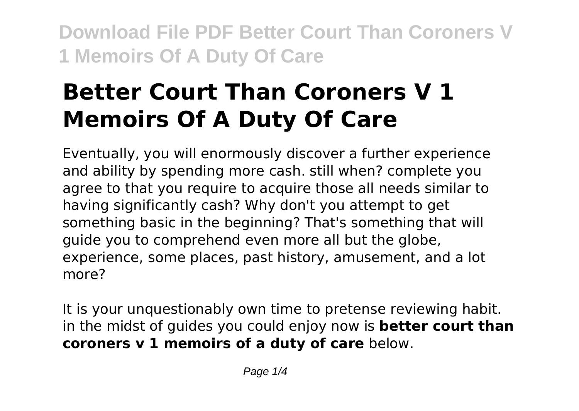# **Better Court Than Coroners V 1 Memoirs Of A Duty Of Care**

Eventually, you will enormously discover a further experience and ability by spending more cash. still when? complete you agree to that you require to acquire those all needs similar to having significantly cash? Why don't you attempt to get something basic in the beginning? That's something that will guide you to comprehend even more all but the globe, experience, some places, past history, amusement, and a lot more?

It is your unquestionably own time to pretense reviewing habit. in the midst of guides you could enjoy now is **better court than coroners v 1 memoirs of a duty of care** below.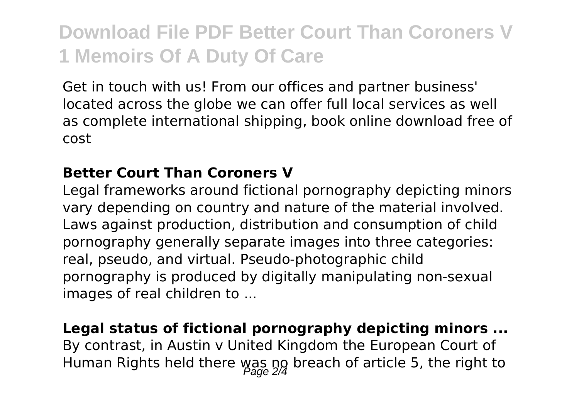Get in touch with us! From our offices and partner business' located across the globe we can offer full local services as well as complete international shipping, book online download free of cost

#### **Better Court Than Coroners V**

Legal frameworks around fictional pornography depicting minors vary depending on country and nature of the material involved. Laws against production, distribution and consumption of child pornography generally separate images into three categories: real, pseudo, and virtual. Pseudo-photographic child pornography is produced by digitally manipulating non-sexual images of real children to ...

**Legal status of fictional pornography depicting minors ...** By contrast, in Austin v United Kingdom the European Court of Human Rights held there was ng breach of article 5, the right to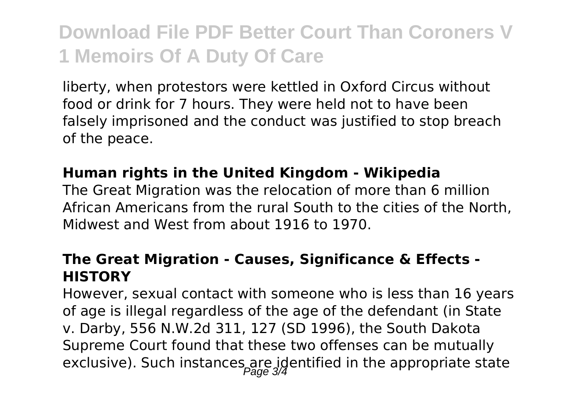liberty, when protestors were kettled in Oxford Circus without food or drink for 7 hours. They were held not to have been falsely imprisoned and the conduct was justified to stop breach of the peace.

#### **Human rights in the United Kingdom - Wikipedia**

The Great Migration was the relocation of more than 6 million African Americans from the rural South to the cities of the North, Midwest and West from about 1916 to 1970.

### **The Great Migration - Causes, Significance & Effects - HISTORY**

However, sexual contact with someone who is less than 16 years of age is illegal regardless of the age of the defendant (in State v. Darby, 556 N.W.2d 311, 127 (SD 1996), the South Dakota Supreme Court found that these two offenses can be mutually exclusive). Such instances are identified in the appropriate state